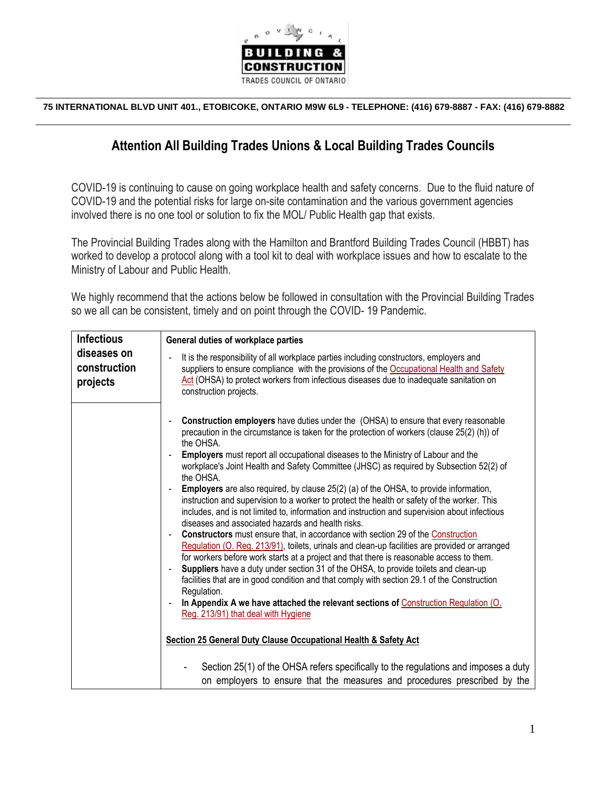

**75 INTERNATIONAL BLVD UNIT 401., ETOBICOKE, ONTARIO M9W 6L9 - TELEPHONE: (416) 679-8887 - FAX: (416) 679-8882**

#### **Attention All Building Trades Unions & Local Building Trades Councils**

COVID-19 is continuing to cause on going workplace health and safety concerns. Due to the fluid nature of COVID-19 and the potential risks for large on-site contamination and the various government agencies involved there is no one tool or solution to fix the MOL/ Public Health gap that exists.

The Provincial Building Trades along with the Hamilton and Brantford Building Trades Council (HBBT) has worked to develop a protocol along with a tool kit to deal with workplace issues and how to escalate to the Ministry of Labour and Public Health.

We highly recommend that the actions below be followed in consultation with the Provincial Building Trades so we all can be consistent, timely and on point through the COVID- 19 Pandemic.

| <b>Infectious</b>                       | General duties of workplace parties                                                                                                                                                                                                                                                                                                                                                                                                                                                                                                                                                                                                                                                                                                                                                                                                                                                                                                                                                                                                                                                                                                                                                                                                                                                                                                                                                                                                                                                                                                                                                                                                    |
|-----------------------------------------|----------------------------------------------------------------------------------------------------------------------------------------------------------------------------------------------------------------------------------------------------------------------------------------------------------------------------------------------------------------------------------------------------------------------------------------------------------------------------------------------------------------------------------------------------------------------------------------------------------------------------------------------------------------------------------------------------------------------------------------------------------------------------------------------------------------------------------------------------------------------------------------------------------------------------------------------------------------------------------------------------------------------------------------------------------------------------------------------------------------------------------------------------------------------------------------------------------------------------------------------------------------------------------------------------------------------------------------------------------------------------------------------------------------------------------------------------------------------------------------------------------------------------------------------------------------------------------------------------------------------------------------|
| diseases on<br>construction<br>projects | It is the responsibility of all workplace parties including constructors, employers and<br>$\blacksquare$<br>suppliers to ensure compliance with the provisions of the Occupational Health and Safety<br>Act (OHSA) to protect workers from infectious diseases due to inadequate sanitation on<br>construction projects.                                                                                                                                                                                                                                                                                                                                                                                                                                                                                                                                                                                                                                                                                                                                                                                                                                                                                                                                                                                                                                                                                                                                                                                                                                                                                                              |
|                                         | <b>Construction employers</b> have duties under the (OHSA) to ensure that every reasonable<br>precaution in the circumstance is taken for the protection of workers (clause 25(2) (h)) of<br>the OHSA.<br>Employers must report all occupational diseases to the Ministry of Labour and the<br>workplace's Joint Health and Safety Committee (JHSC) as required by Subsection 52(2) of<br>the OHSA.<br>Employers are also required, by clause 25(2) (a) of the OHSA, to provide information,<br>instruction and supervision to a worker to protect the health or safety of the worker. This<br>includes, and is not limited to, information and instruction and supervision about infectious<br>diseases and associated hazards and health risks.<br><b>Constructors</b> must ensure that, in accordance with section 29 of the Construction<br>Regulation (O. Reg. 213/91), toilets, urinals and clean-up facilities are provided or arranged<br>for workers before work starts at a project and that there is reasonable access to them.<br>Suppliers have a duty under section 31 of the OHSA, to provide toilets and clean-up<br>$\blacksquare$<br>facilities that are in good condition and that comply with section 29.1 of the Construction<br>Regulation.<br>In Appendix A we have attached the relevant sections of Construction Regulation (O.<br>Reg. 213/91) that deal with Hygiene<br>Section 25 General Duty Clause Occupational Health & Safety Act<br>Section 25(1) of the OHSA refers specifically to the regulations and imposes a duty<br>on employers to ensure that the measures and procedures prescribed by the |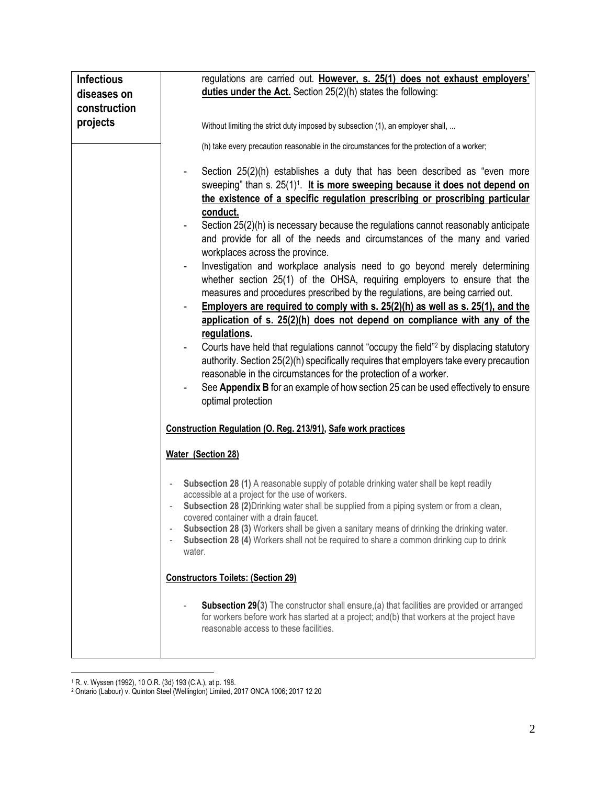| <b>Infectious</b> | regulations are carried out. However, s. 25(1) does not exhaust employers'                                                                                                           |  |  |
|-------------------|--------------------------------------------------------------------------------------------------------------------------------------------------------------------------------------|--|--|
| diseases on       | duties under the Act. Section $25(2)(h)$ states the following:                                                                                                                       |  |  |
| construction      |                                                                                                                                                                                      |  |  |
| projects          | Without limiting the strict duty imposed by subsection (1), an employer shall,                                                                                                       |  |  |
|                   |                                                                                                                                                                                      |  |  |
|                   | (h) take every precaution reasonable in the circumstances for the protection of a worker;                                                                                            |  |  |
|                   | Section 25(2)(h) establishes a duty that has been described as "even more                                                                                                            |  |  |
|                   | sweeping" than s. 25(1) <sup>1</sup> . It is more sweeping because it does not depend on                                                                                             |  |  |
|                   | the existence of a specific regulation prescribing or proscribing particular                                                                                                         |  |  |
|                   | conduct.                                                                                                                                                                             |  |  |
|                   | Section 25(2)(h) is necessary because the regulations cannot reasonably anticipate                                                                                                   |  |  |
|                   | and provide for all of the needs and circumstances of the many and varied                                                                                                            |  |  |
|                   | workplaces across the province.                                                                                                                                                      |  |  |
|                   | Investigation and workplace analysis need to go beyond merely determining                                                                                                            |  |  |
|                   | whether section 25(1) of the OHSA, requiring employers to ensure that the                                                                                                            |  |  |
|                   | measures and procedures prescribed by the regulations, are being carried out.                                                                                                        |  |  |
|                   | Employers are required to comply with s. 25(2)(h) as well as s. 25(1), and the                                                                                                       |  |  |
|                   | application of s. 25(2)(h) does not depend on compliance with any of the                                                                                                             |  |  |
|                   | regulations.                                                                                                                                                                         |  |  |
|                   | Courts have held that regulations cannot "occupy the field" <sup>2</sup> by displacing statutory                                                                                     |  |  |
|                   | authority. Section 25(2)(h) specifically requires that employers take every precaution                                                                                               |  |  |
|                   | reasonable in the circumstances for the protection of a worker.                                                                                                                      |  |  |
|                   | See Appendix B for an example of how section 25 can be used effectively to ensure                                                                                                    |  |  |
|                   | optimal protection                                                                                                                                                                   |  |  |
|                   |                                                                                                                                                                                      |  |  |
|                   | Construction Regulation (O. Reg. 213/91), Safe work practices                                                                                                                        |  |  |
|                   | Water (Section 28)                                                                                                                                                                   |  |  |
|                   | Subsection 28 (1) A reasonable supply of potable drinking water shall be kept readily                                                                                                |  |  |
|                   | accessible at a project for the use of workers.                                                                                                                                      |  |  |
|                   | Subsection 28 (2) Drinking water shall be supplied from a piping system or from a clean,                                                                                             |  |  |
|                   | covered container with a drain faucet.                                                                                                                                               |  |  |
|                   | Subsection 28 (3) Workers shall be given a sanitary means of drinking the drinking water.<br>Subsection 28 (4) Workers shall not be required to share a common drinking cup to drink |  |  |
|                   | water.<br><b>Constructors Toilets: (Section 29)</b>                                                                                                                                  |  |  |
|                   |                                                                                                                                                                                      |  |  |
|                   |                                                                                                                                                                                      |  |  |
|                   | <b>Subsection 29(3)</b> The constructor shall ensure, (a) that facilities are provided or arranged                                                                                   |  |  |
|                   | for workers before work has started at a project; and(b) that workers at the project have                                                                                            |  |  |
|                   | reasonable access to these facilities.                                                                                                                                               |  |  |
|                   |                                                                                                                                                                                      |  |  |
|                   |                                                                                                                                                                                      |  |  |

<sup>1</sup> R. v. Wyssen (1992), 10 O.R. (3d) 193 (C.A.), at p. 198.

<sup>2</sup> Ontario (Labour) v. Quinton Steel (Wellington) Limited, 2017 ONCA 1006; 2017 12 20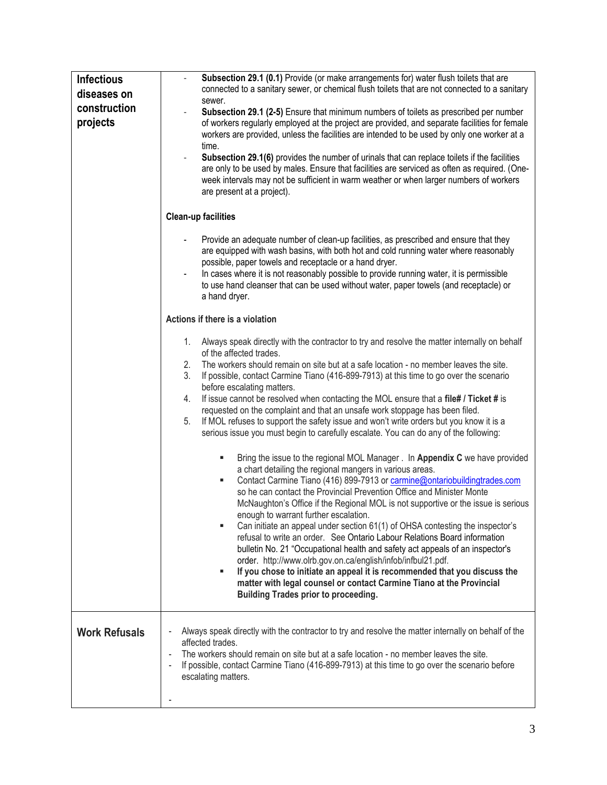| <b>Infectious</b><br>diseases on<br>construction<br>projects | Subsection 29.1 (0.1) Provide (or make arrangements for) water flush toilets that are<br>connected to a sanitary sewer, or chemical flush toilets that are not connected to a sanitary<br>sewer.<br>Subsection 29.1 (2-5) Ensure that minimum numbers of toilets as prescribed per number<br>of workers regularly employed at the project are provided, and separate facilities for female<br>workers are provided, unless the facilities are intended to be used by only one worker at a<br>time.<br>Subsection 29.1(6) provides the number of urinals that can replace toilets if the facilities<br>are only to be used by males. Ensure that facilities are serviced as often as required. (One-<br>week intervals may not be sufficient in warm weather or when larger numbers of workers<br>are present at a project).                                                                                                                                          |  |
|--------------------------------------------------------------|----------------------------------------------------------------------------------------------------------------------------------------------------------------------------------------------------------------------------------------------------------------------------------------------------------------------------------------------------------------------------------------------------------------------------------------------------------------------------------------------------------------------------------------------------------------------------------------------------------------------------------------------------------------------------------------------------------------------------------------------------------------------------------------------------------------------------------------------------------------------------------------------------------------------------------------------------------------------|--|
|                                                              | <b>Clean-up facilities</b>                                                                                                                                                                                                                                                                                                                                                                                                                                                                                                                                                                                                                                                                                                                                                                                                                                                                                                                                           |  |
|                                                              | Provide an adequate number of clean-up facilities, as prescribed and ensure that they<br>are equipped with wash basins, with both hot and cold running water where reasonably<br>possible, paper towels and receptacle or a hand dryer.<br>In cases where it is not reasonably possible to provide running water, it is permissible<br>to use hand cleanser that can be used without water, paper towels (and receptacle) or<br>a hand dryer.                                                                                                                                                                                                                                                                                                                                                                                                                                                                                                                        |  |
|                                                              | Actions if there is a violation                                                                                                                                                                                                                                                                                                                                                                                                                                                                                                                                                                                                                                                                                                                                                                                                                                                                                                                                      |  |
|                                                              | Always speak directly with the contractor to try and resolve the matter internally on behalf<br>1.<br>of the affected trades.<br>The workers should remain on site but at a safe location - no member leaves the site.<br>2.<br>3.<br>If possible, contact Carmine Tiano (416-899-7913) at this time to go over the scenario<br>before escalating matters.<br>If issue cannot be resolved when contacting the MOL ensure that a file# / Ticket # is<br>4.<br>requested on the complaint and that an unsafe work stoppage has been filed.<br>If MOL refuses to support the safety issue and won't write orders but you know it is a<br>5.<br>serious issue you must begin to carefully escalate. You can do any of the following:                                                                                                                                                                                                                                     |  |
|                                                              | Bring the issue to the regional MOL Manager . In Appendix C we have provided<br>ш<br>a chart detailing the regional mangers in various areas.<br>Contact Carmine Tiano (416) 899-7913 or carmine@ontariobuildingtrades.com<br>ш<br>so he can contact the Provincial Prevention Office and Minister Monte<br>McNaughton's Office if the Regional MOL is not supportive or the issue is serious<br>enough to warrant further escalation.<br>Can initiate an appeal under section 61(1) of OHSA contesting the inspector's<br>ш<br>refusal to write an order. See Ontario Labour Relations Board information<br>bulletin No. 21 "Occupational health and safety act appeals of an inspector's<br>order. http://www.olrb.gov.on.ca/english/infob/infbul21.pdf.<br>If you chose to initiate an appeal it is recommended that you discuss the<br>g,<br>matter with legal counsel or contact Carmine Tiano at the Provincial<br><b>Building Trades prior to proceeding.</b> |  |
| <b>Work Refusals</b>                                         | Always speak directly with the contractor to try and resolve the matter internally on behalf of the<br>affected trades.<br>The workers should remain on site but at a safe location - no member leaves the site.<br>If possible, contact Carmine Tiano (416-899-7913) at this time to go over the scenario before<br>escalating matters.                                                                                                                                                                                                                                                                                                                                                                                                                                                                                                                                                                                                                             |  |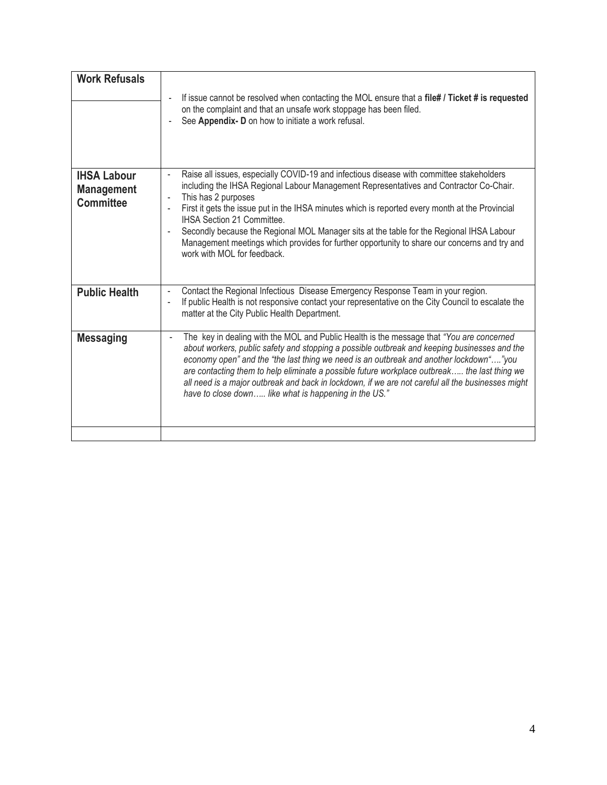| <b>Work Refusals</b>                                        | If issue cannot be resolved when contacting the MOL ensure that a file# / Ticket # is requested<br>on the complaint and that an unsafe work stoppage has been filed.<br>See Appendix- D on how to initiate a work refusal.                                                                                                                                                                                                                                                                                                                                                                         |
|-------------------------------------------------------------|----------------------------------------------------------------------------------------------------------------------------------------------------------------------------------------------------------------------------------------------------------------------------------------------------------------------------------------------------------------------------------------------------------------------------------------------------------------------------------------------------------------------------------------------------------------------------------------------------|
| <b>IHSA Labour</b><br><b>Management</b><br><b>Committee</b> | Raise all issues, especially COVID-19 and infectious disease with committee stakeholders<br>L,<br>including the IHSA Regional Labour Management Representatives and Contractor Co-Chair.<br>This has 2 purposes<br>First it gets the issue put in the IHSA minutes which is reported every month at the Provincial<br>$\overline{a}$<br>IHSA Section 21 Committee.<br>Secondly because the Regional MOL Manager sits at the table for the Regional IHSA Labour<br>L,<br>Management meetings which provides for further opportunity to share our concerns and try and<br>work with MOL for feedback |
| <b>Public Health</b>                                        | Contact the Regional Infectious Disease Emergency Response Team in your region.<br>$\overline{a}$<br>If public Health is not responsive contact your representative on the City Council to escalate the<br>$\overline{a}$<br>matter at the City Public Health Department.                                                                                                                                                                                                                                                                                                                          |
| <b>Messaging</b>                                            | The key in dealing with the MOL and Public Health is the message that "You are concerned<br>about workers, public safety and stopping a possible outbreak and keeping businesses and the<br>economy open" and the "the last thing we need is an outbreak and another lockdown""you<br>are contacting them to help eliminate a possible future workplace outbreak the last thing we<br>all need is a major outbreak and back in lockdown, if we are not careful all the businesses might<br>have to close down like what is happening in the US."                                                   |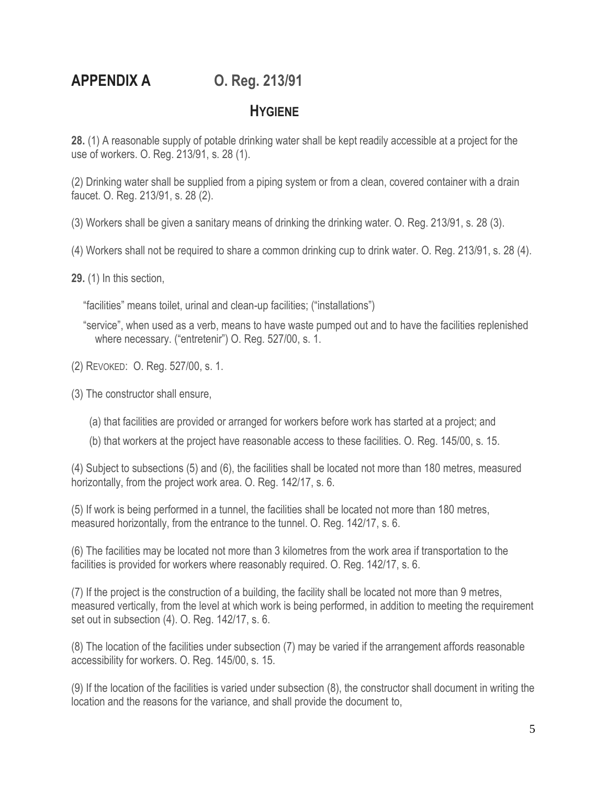**APPENDIX A O. Reg. 213/91**

### **HYGIENE**

**28.** (1) A reasonable supply of potable drinking water shall be kept readily accessible at a project for the use of workers. O. Reg. 213/91, s. 28 (1).

(2) Drinking water shall be supplied from a piping system or from a clean, covered container with a drain faucet. O. Reg. 213/91, s. 28 (2).

(3) Workers shall be given a sanitary means of drinking the drinking water. O. Reg. 213/91, s. 28 (3).

(4) Workers shall not be required to share a common drinking cup to drink water. O. Reg. 213/91, s. 28 (4).

**29.** (1) In this section,

"facilities" means toilet, urinal and clean-up facilities; ("installations")

"service", when used as a verb, means to have waste pumped out and to have the facilities replenished where necessary. ("entretenir") O. Reg. 527/00, s. 1.

(2) REVOKED: O. Reg. 527/00, s. 1.

(3) The constructor shall ensure,

- (a) that facilities are provided or arranged for workers before work has started at a project; and
- (b) that workers at the project have reasonable access to these facilities. O. Reg. 145/00, s. 15.

(4) Subject to subsections (5) and (6), the facilities shall be located not more than 180 metres, measured horizontally, from the project work area. O. Reg. 142/17, s. 6.

(5) If work is being performed in a tunnel, the facilities shall be located not more than 180 metres, measured horizontally, from the entrance to the tunnel. O. Reg. 142/17, s. 6.

(6) The facilities may be located not more than 3 kilometres from the work area if transportation to the facilities is provided for workers where reasonably required. O. Reg. 142/17, s. 6.

(7) If the project is the construction of a building, the facility shall be located not more than 9 metres, measured vertically, from the level at which work is being performed, in addition to meeting the requirement set out in subsection (4). O. Reg. 142/17, s. 6.

(8) The location of the facilities under subsection (7) may be varied if the arrangement affords reasonable accessibility for workers. O. Reg. 145/00, s. 15.

(9) If the location of the facilities is varied under subsection (8), the constructor shall document in writing the location and the reasons for the variance, and shall provide the document to,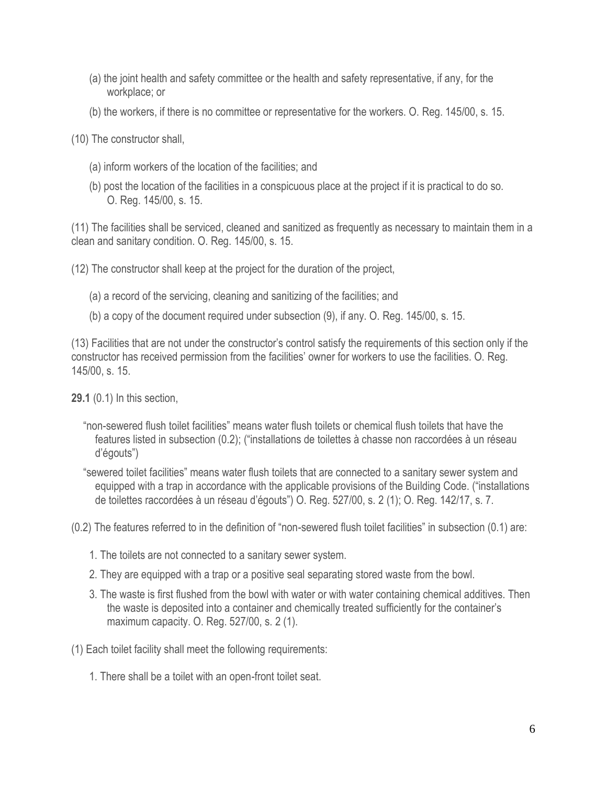- (a) the joint health and safety committee or the health and safety representative, if any, for the workplace; or
- (b) the workers, if there is no committee or representative for the workers. O. Reg. 145/00, s. 15.

(10) The constructor shall,

- (a) inform workers of the location of the facilities; and
- (b) post the location of the facilities in a conspicuous place at the project if it is practical to do so. O. Reg. 145/00, s. 15.

(11) The facilities shall be serviced, cleaned and sanitized as frequently as necessary to maintain them in a clean and sanitary condition. O. Reg. 145/00, s. 15.

(12) The constructor shall keep at the project for the duration of the project,

- (a) a record of the servicing, cleaning and sanitizing of the facilities; and
- (b) a copy of the document required under subsection (9), if any. O. Reg. 145/00, s. 15.

(13) Facilities that are not under the constructor's control satisfy the requirements of this section only if the constructor has received permission from the facilities' owner for workers to use the facilities. O. Reg. 145/00, s. 15.

**29.1** (0.1) In this section,

"non-sewered flush toilet facilities" means water flush toilets or chemical flush toilets that have the features listed in subsection (0.2); ("installations de toilettes à chasse non raccordées à un réseau d'égouts")

"sewered toilet facilities" means water flush toilets that are connected to a sanitary sewer system and equipped with a trap in accordance with the applicable provisions of the Building Code. ("installations de toilettes raccordées à un réseau d'égouts") O. Reg. 527/00, s. 2 (1); O. Reg. 142/17, s. 7.

(0.2) The features referred to in the definition of "non-sewered flush toilet facilities" in subsection (0.1) are:

- 1. The toilets are not connected to a sanitary sewer system.
- 2. They are equipped with a trap or a positive seal separating stored waste from the bowl.
- 3. The waste is first flushed from the bowl with water or with water containing chemical additives. Then the waste is deposited into a container and chemically treated sufficiently for the container's maximum capacity. O. Reg. 527/00, s. 2 (1).

(1) Each toilet facility shall meet the following requirements:

1. There shall be a toilet with an open-front toilet seat.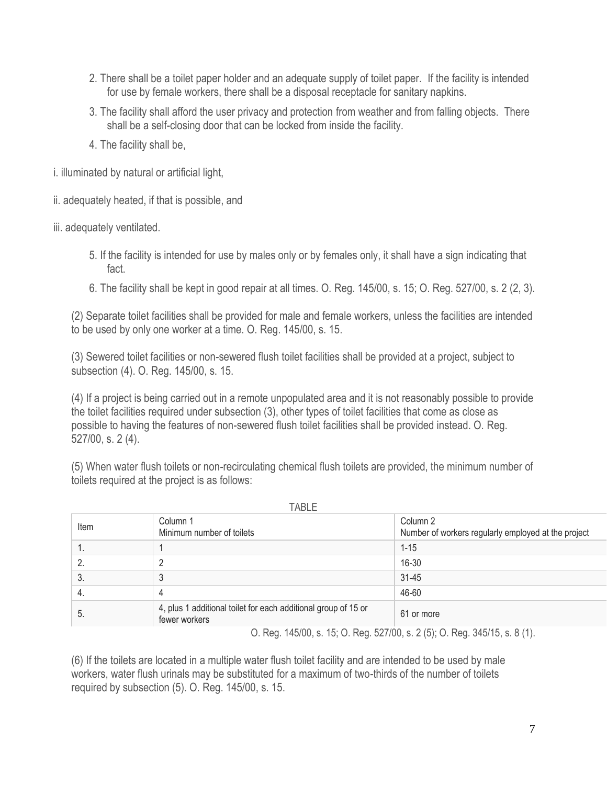- 2. There shall be a toilet paper holder and an adequate supply of toilet paper. If the facility is intended for use by female workers, there shall be a disposal receptacle for sanitary napkins.
- 3. The facility shall afford the user privacy and protection from weather and from falling objects. There shall be a self-closing door that can be locked from inside the facility.
- 4. The facility shall be,

i. illuminated by natural or artificial light,

ii. adequately heated, if that is possible, and

iii. adequately ventilated.

- 5. If the facility is intended for use by males only or by females only, it shall have a sign indicating that fact.
- 6. The facility shall be kept in good repair at all times. O. Reg. 145/00, s. 15; O. Reg. 527/00, s. 2 (2, 3).

(2) Separate toilet facilities shall be provided for male and female workers, unless the facilities are intended to be used by only one worker at a time. O. Reg. 145/00, s. 15.

(3) Sewered toilet facilities or non-sewered flush toilet facilities shall be provided at a project, subject to subsection (4). O. Reg. 145/00, s. 15.

(4) If a project is being carried out in a remote unpopulated area and it is not reasonably possible to provide the toilet facilities required under subsection (3), other types of toilet facilities that come as close as possible to having the features of non-sewered flush toilet facilities shall be provided instead. O. Reg. 527/00, s. 2 (4).

(5) When water flush toilets or non-recirculating chemical flush toilets are provided, the minimum number of toilets required at the project is as follows:

|      | I ADLE                                                                          |                                                                 |
|------|---------------------------------------------------------------------------------|-----------------------------------------------------------------|
| Item | Column 1<br>Minimum number of toilets                                           | Column 2<br>Number of workers regularly employed at the project |
|      |                                                                                 | $1 - 15$                                                        |
| 2.   |                                                                                 | 16-30                                                           |
| 3.   | -u                                                                              | $31 - 45$                                                       |
| 4.   | 4                                                                               | 46-60                                                           |
| . ხ  | 4, plus 1 additional toilet for each additional group of 15 or<br>fewer workers | 61 or more                                                      |

TABLE

O. Reg. 145/00, s. 15; O. Reg. 527/00, s. 2 (5); O. Reg. 345/15, s. 8 (1).

(6) If the toilets are located in a multiple water flush toilet facility and are intended to be used by male workers, water flush urinals may be substituted for a maximum of two-thirds of the number of toilets required by subsection (5). O. Reg. 145/00, s. 15.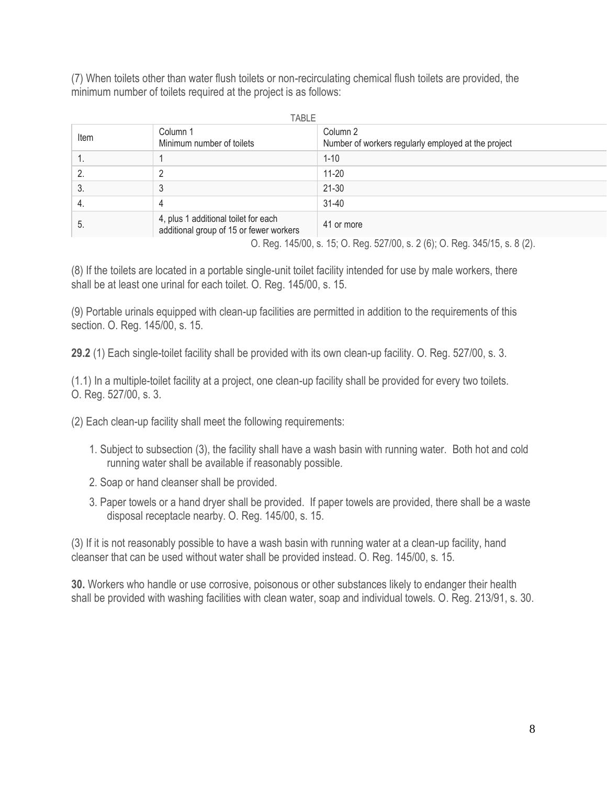(7) When toilets other than water flush toilets or non-recirculating chemical flush toilets are provided, the minimum number of toilets required at the project is as follows:

| TABLE                                                                      |                                                                                 |                                                                 |
|----------------------------------------------------------------------------|---------------------------------------------------------------------------------|-----------------------------------------------------------------|
| Item                                                                       | Column 1<br>Minimum number of toilets                                           | Column 2<br>Number of workers regularly employed at the project |
| Ί.                                                                         |                                                                                 | $1 - 10$                                                        |
|                                                                            | റ                                                                               | 11-20                                                           |
| 3.                                                                         |                                                                                 | 21-30                                                           |
| 4.                                                                         | 4                                                                               | $31 - 40$                                                       |
| . ს                                                                        | 4, plus 1 additional toilet for each<br>additional group of 15 or fewer workers | 41 or more                                                      |
| O. Reg. 145/00, s. 15; O. Reg. 527/00, s. 2 (6); O. Reg. 345/15, s. 8 (2). |                                                                                 |                                                                 |

(8) If the toilets are located in a portable single-unit toilet facility intended for use by male workers, there shall be at least one urinal for each toilet. O. Reg. 145/00, s. 15.

(9) Portable urinals equipped with clean-up facilities are permitted in addition to the requirements of this section. O. Reg. 145/00, s. 15.

**29.2** (1) Each single-toilet facility shall be provided with its own clean-up facility. O. Reg. 527/00, s. 3.

(1.1) In a multiple-toilet facility at a project, one clean-up facility shall be provided for every two toilets. O. Reg. 527/00, s. 3.

(2) Each clean-up facility shall meet the following requirements:

- 1. Subject to subsection (3), the facility shall have a wash basin with running water. Both hot and cold running water shall be available if reasonably possible.
- 2. Soap or hand cleanser shall be provided.
- 3. Paper towels or a hand dryer shall be provided. If paper towels are provided, there shall be a waste disposal receptacle nearby. O. Reg. 145/00, s. 15.

(3) If it is not reasonably possible to have a wash basin with running water at a clean-up facility, hand cleanser that can be used without water shall be provided instead. O. Reg. 145/00, s. 15.

**30.** Workers who handle or use corrosive, poisonous or other substances likely to endanger their health shall be provided with washing facilities with clean water, soap and individual towels. O. Reg. 213/91, s. 30.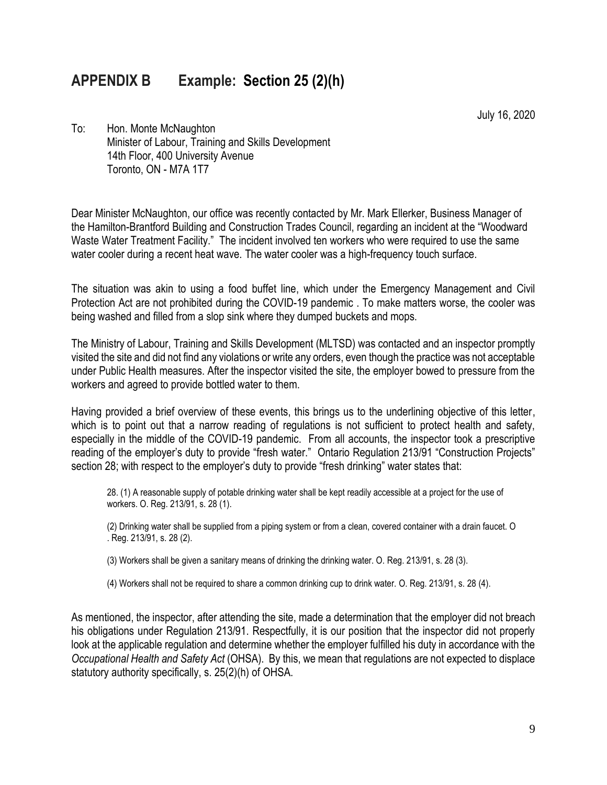## **APPENDIX B Example: Section 25 (2)(h)**

July 16, 2020

To: Hon. Monte McNaughton Minister of Labour, Training and Skills Development 14th Floor, 400 University Avenue Toronto, ON - M7A 1T7

Dear Minister McNaughton, our office was recently contacted by Mr. Mark Ellerker, Business Manager of the Hamilton-Brantford Building and Construction Trades Council, regarding an incident at the "Woodward Waste Water Treatment Facility." The incident involved ten workers who were required to use the same water cooler during a recent heat wave. The water cooler was a high-frequency touch surface.

The situation was akin to using a food buffet line, which under the Emergency Management and Civil Protection Act are not prohibited during the COVID-19 pandemic . To make matters worse, the cooler was being washed and filled from a slop sink where they dumped buckets and mops.

The Ministry of Labour, Training and Skills Development (MLTSD) was contacted and an inspector promptly visited the site and did not find any violations or write any orders, even though the practice was not acceptable under Public Health measures. After the inspector visited the site, the employer bowed to pressure from the workers and agreed to provide bottled water to them.

Having provided a brief overview of these events, this brings us to the underlining objective of this letter, which is to point out that a narrow reading of regulations is not sufficient to protect health and safety, especially in the middle of the COVID-19 pandemic. From all accounts, the inspector took a prescriptive reading of the employer's duty to provide "fresh water." Ontario Regulation 213/91 "Construction Projects" section 28; with respect to the employer's duty to provide "fresh drinking" water states that:

28. (1) A reasonable supply of potable drinking water shall be kept readily accessible at a project for the use of workers. O. Reg. 213/91, s. 28 (1).

(2) Drinking water shall be supplied from a piping system or from a clean, covered container with a drain faucet. O . Reg. 213/91, s. 28 (2).

(3) Workers shall be given a sanitary means of drinking the drinking water. O. Reg. 213/91, s. 28 (3).

(4) Workers shall not be required to share a common drinking cup to drink water. O. Reg. 213/91, s. 28 (4).

As mentioned, the inspector, after attending the site, made a determination that the employer did not breach his obligations under Regulation 213/91. Respectfully, it is our position that the inspector did not properly look at the applicable regulation and determine whether the employer fulfilled his duty in accordance with the *Occupational Health and Safety Act* (OHSA). By this, we mean that regulations are not expected to displace statutory authority specifically, s. 25(2)(h) of OHSA.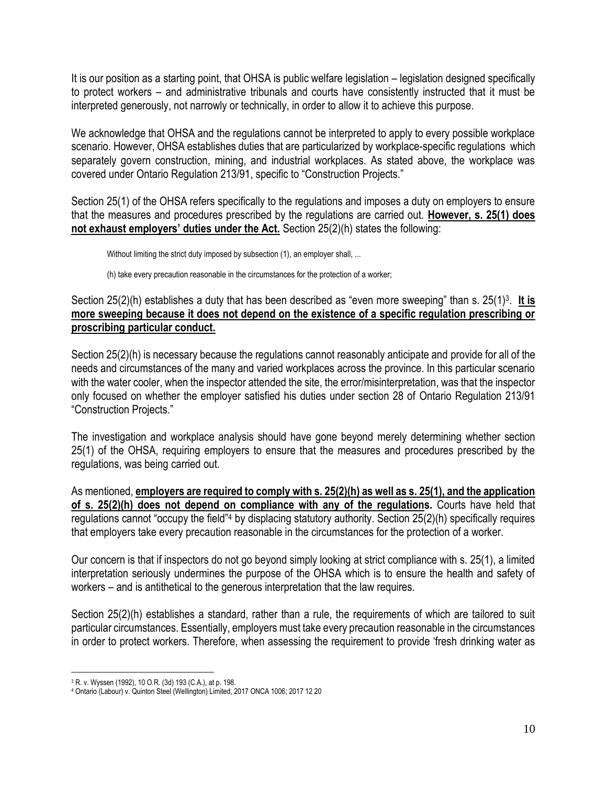It is our position as a starting point, that OHSA is public welfare legislation – legislation designed specifically to protect workers – and administrative tribunals and courts have consistently instructed that it must be interpreted generously, not narrowly or technically, in order to allow it to achieve this purpose.

We acknowledge that OHSA and the regulations cannot be interpreted to apply to every possible workplace scenario. However, OHSA establishes duties that are particularized by workplace-specific regulations which separately govern construction, mining, and industrial workplaces. As stated above, the workplace was covered under Ontario Regulation 213/91, specific to "Construction Projects."

Section 25(1) of the OHSA refers specifically to the regulations and imposes a duty on employers to ensure that the measures and procedures prescribed by the regulations are carried out. **However, s. 25(1) does not exhaust employers' duties under the Act.** Section 25(2)(h) states the following:

Without limiting the strict duty imposed by subsection (1), an employer shall, ...

(h) take every precaution reasonable in the circumstances for the protection of a worker;

Section 25(2)(h) establishes a duty that has been described as "even more sweeping" than s. 25(1)<sup>3</sup>. It is **more sweeping because it does not depend on the existence of a specific regulation prescribing or proscribing particular conduct.** 

Section 25(2)(h) is necessary because the regulations cannot reasonably anticipate and provide for all of the needs and circumstances of the many and varied workplaces across the province. In this particular scenario with the water cooler, when the inspector attended the site, the error/misinterpretation, was that the inspector only focused on whether the employer satisfied his duties under section 28 of Ontario Regulation 213/91 "Construction Projects."

The investigation and workplace analysis should have gone beyond merely determining whether section 25(1) of the OHSA, requiring employers to ensure that the measures and procedures prescribed by the regulations, was being carried out.

As mentioned, **employers are required to comply with s. 25(2)(h) as well as s. 25(1), and the application of s. 25(2)(h) does not depend on compliance with any of the regulations.** Courts have held that regulations cannot "occupy the field"<sup>4</sup> by displacing statutory authority. Section 25(2)(h) specifically requires that employers take every precaution reasonable in the circumstances for the protection of a worker.

Our concern is that if inspectors do not go beyond simply looking at strict compliance with s. 25(1), a limited interpretation seriously undermines the purpose of the OHSA which is to ensure the health and safety of workers – and is antithetical to the generous interpretation that the law requires.

Section 25(2)(h) establishes a standard, rather than a rule, the requirements of which are tailored to suit particular circumstances. Essentially, employers must take every precaution reasonable in the circumstances in order to protect workers. Therefore, when assessing the requirement to provide 'fresh drinking water as

<sup>3</sup> R. v. Wyssen (1992), 10 O.R. (3d) 193 (C.A.), at p. 198.

<sup>4</sup> Ontario (Labour) v. Quinton Steel (Wellington) Limited, 2017 ONCA 1006; 2017 12 20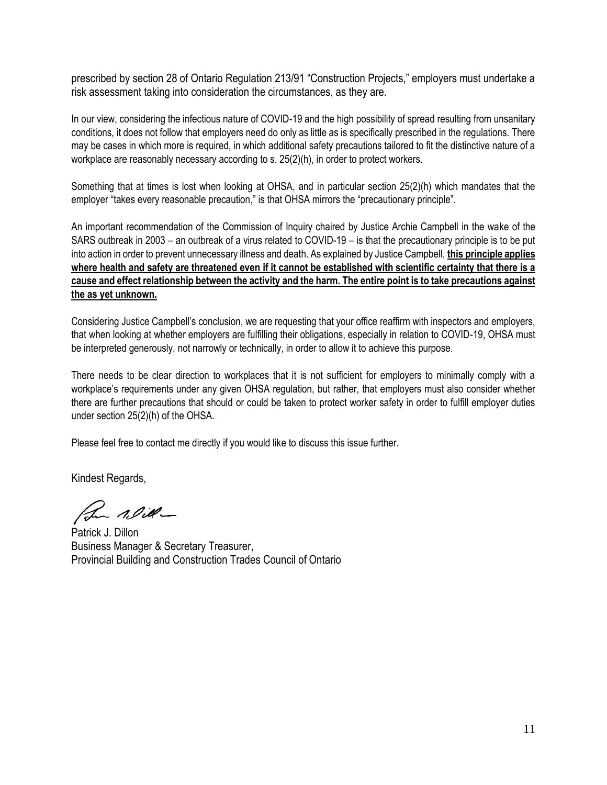prescribed by section 28 of Ontario Regulation 213/91 "Construction Projects," employers must undertake a risk assessment taking into consideration the circumstances, as they are.

In our view, considering the infectious nature of COVID-19 and the high possibility of spread resulting from unsanitary conditions, it does not follow that employers need do only as little as is specifically prescribed in the regulations. There may be cases in which more is required, in which additional safety precautions tailored to fit the distinctive nature of a workplace are reasonably necessary according to s. 25(2)(h), in order to protect workers.

Something that at times is lost when looking at OHSA, and in particular section 25(2)(h) which mandates that the employer "takes every reasonable precaution," is that OHSA mirrors the "precautionary principle".

An important recommendation of the Commission of Inquiry chaired by Justice Archie Campbell in the wake of the SARS outbreak in 2003 – an outbreak of a virus related to COVID-19 – is that the precautionary principle is to be put into action in order to prevent unnecessary illness and death. As explained by Justice Campbell, **this principle applies where health and safety are threatened even if it cannot be established with scientific certainty that there is a cause and effect relationship between the activity and the harm. The entire point is to take precautions against the as yet unknown.** 

Considering Justice Campbell's conclusion, we are requesting that your office reaffirm with inspectors and employers, that when looking at whether employers are fulfilling their obligations, especially in relation to COVID-19, OHSA must be interpreted generously, not narrowly or technically, in order to allow it to achieve this purpose.

There needs to be clear direction to workplaces that it is not sufficient for employers to minimally comply with a workplace's requirements under any given OHSA regulation, but rather, that employers must also consider whether there are further precautions that should or could be taken to protect worker safety in order to fulfill employer duties under section 25(2)(h) of the OHSA.

Please feel free to contact me directly if you would like to discuss this issue further.

Kindest Regards,

Pom Nill-

Patrick J. Dillon Business Manager & Secretary Treasurer, Provincial Building and Construction Trades Council of Ontario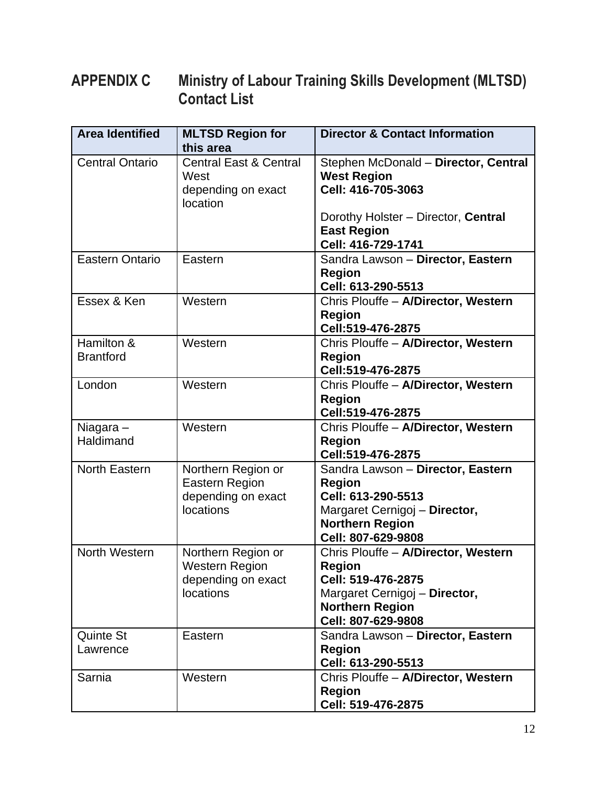## **APPENDIX C Ministry of Labour Training Skills Development (MLTSD) Contact List**

| <b>Area Identified</b>         | <b>MLTSD Region for</b><br>this area                                           | <b>Director &amp; Contact Information</b>                                                                                                                   |
|--------------------------------|--------------------------------------------------------------------------------|-------------------------------------------------------------------------------------------------------------------------------------------------------------|
| <b>Central Ontario</b>         | <b>Central East &amp; Central</b><br>West<br>depending on exact<br>location    | Stephen McDonald - Director, Central<br><b>West Region</b><br>Cell: 416-705-3063                                                                            |
|                                |                                                                                | Dorothy Holster - Director, Central<br><b>East Region</b><br>Cell: 416-729-1741                                                                             |
| <b>Eastern Ontario</b>         | Eastern                                                                        | Sandra Lawson - Director, Eastern<br><b>Region</b><br>Cell: 613-290-5513                                                                                    |
| Essex & Ken                    | Western                                                                        | Chris Plouffe - A/Director, Western<br><b>Region</b><br>Cell:519-476-2875                                                                                   |
| Hamilton &<br><b>Brantford</b> | Western                                                                        | Chris Plouffe - A/Director, Western<br><b>Region</b><br>Cell:519-476-2875                                                                                   |
| London                         | Western                                                                        | Chris Plouffe - A/Director, Western<br><b>Region</b><br>Cell:519-476-2875                                                                                   |
| Niagara-<br>Haldimand          | Western                                                                        | Chris Plouffe - A/Director, Western<br><b>Region</b><br>Cell:519-476-2875                                                                                   |
| North Eastern                  | Northern Region or<br><b>Eastern Region</b><br>depending on exact<br>locations | Sandra Lawson - Director, Eastern<br><b>Region</b><br>Cell: 613-290-5513<br>Margaret Cernigoj - Director,<br><b>Northern Region</b><br>Cell: 807-629-9808   |
| North Western                  | Northern Region or<br><b>Western Region</b><br>depending on exact<br>locations | Chris Plouffe - A/Director, Western<br><b>Region</b><br>Cell: 519-476-2875<br>Margaret Cernigoj - Director,<br><b>Northern Region</b><br>Cell: 807-629-9808 |
| <b>Quinte St</b><br>Lawrence   | Eastern                                                                        | Sandra Lawson - Director, Eastern<br><b>Region</b><br>Cell: 613-290-5513                                                                                    |
| Sarnia                         | Western                                                                        | Chris Plouffe - A/Director, Western<br><b>Region</b><br>Cell: 519-476-2875                                                                                  |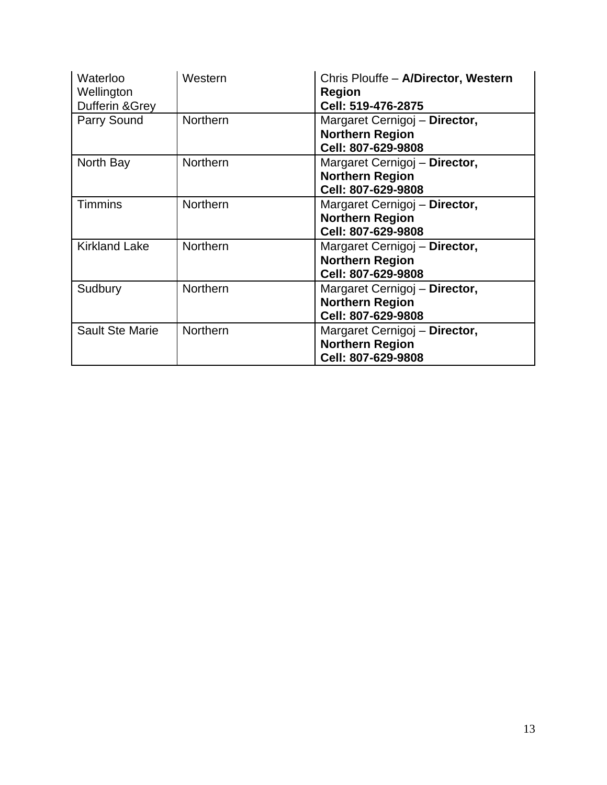| Waterloo<br>Wellington<br>Dufferin & Grey | Western         | Chris Plouffe - A/Director, Western<br><b>Region</b><br>Cell: 519-476-2875    |
|-------------------------------------------|-----------------|-------------------------------------------------------------------------------|
| Parry Sound                               | <b>Northern</b> | Margaret Cernigoj - Director,<br><b>Northern Region</b><br>Cell: 807-629-9808 |
| North Bay                                 | <b>Northern</b> | Margaret Cernigoj - Director,<br><b>Northern Region</b><br>Cell: 807-629-9808 |
| <b>Timmins</b>                            | <b>Northern</b> | Margaret Cernigoj - Director,<br><b>Northern Region</b><br>Cell: 807-629-9808 |
| <b>Kirkland Lake</b>                      | <b>Northern</b> | Margaret Cernigoj - Director,<br><b>Northern Region</b><br>Cell: 807-629-9808 |
| Sudbury                                   | <b>Northern</b> | Margaret Cernigoj - Director,<br><b>Northern Region</b><br>Cell: 807-629-9808 |
| Sault Ste Marie                           | <b>Northern</b> | Margaret Cernigoj - Director,<br><b>Northern Region</b><br>Cell: 807-629-9808 |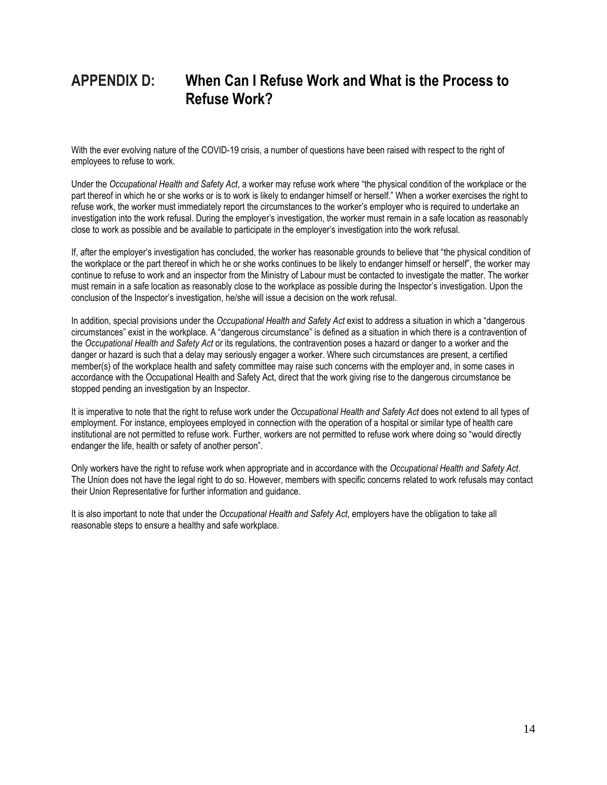## **APPENDIX D: When Can I Refuse Work and What is the Process to Refuse Work?**

With the ever evolving nature of the COVID-19 crisis, a number of questions have been raised with respect to the right of employees to refuse to work.

Under the *Occupational Health and Safety Act*, a worker may refuse work where "the physical condition of the workplace or the part thereof in which he or she works or is to work is likely to endanger himself or herself." When a worker exercises the right to refuse work, the worker must immediately report the circumstances to the worker's employer who is required to undertake an investigation into the work refusal. During the employer's investigation, the worker must remain in a safe location as reasonably close to work as possible and be available to participate in the employer's investigation into the work refusal.

If, after the employer's investigation has concluded, the worker has reasonable grounds to believe that "the physical condition of the workplace or the part thereof in which he or she works continues to be likely to endanger himself or herself", the worker may continue to refuse to work and an inspector from the Ministry of Labour must be contacted to investigate the matter. The worker must remain in a safe location as reasonably close to the workplace as possible during the Inspector's investigation. Upon the conclusion of the Inspector's investigation, he/she will issue a decision on the work refusal.

In addition, special provisions under the *Occupational Health and Safety Act* exist to address a situation in which a "dangerous circumstances" exist in the workplace. A "dangerous circumstance" is defined as a situation in which there is a contravention of the *Occupational Health and Safety Act* or its regulations, the contravention poses a hazard or danger to a worker and the danger or hazard is such that a delay may seriously engager a worker. Where such circumstances are present, a certified member(s) of the workplace health and safety committee may raise such concerns with the employer and, in some cases in accordance with the Occupational Health and Safety Act, direct that the work giving rise to the dangerous circumstance be stopped pending an investigation by an Inspector.

It is imperative to note that the right to refuse work under the *Occupational Health and Safety Act* does not extend to all types of employment. For instance, employees employed in connection with the operation of a hospital or similar type of health care institutional are not permitted to refuse work. Further, workers are not permitted to refuse work where doing so "would directly endanger the life, health or safety of another person".

Only workers have the right to refuse work when appropriate and in accordance with the *Occupational Health and Safety Act*. The Union does not have the legal right to do so. However, members with specific concerns related to work refusals may contact their Union Representative for further information and guidance.

It is also important to note that under the *Occupational Health and Safety Act*, employers have the obligation to take all reasonable steps to ensure a healthy and safe workplace.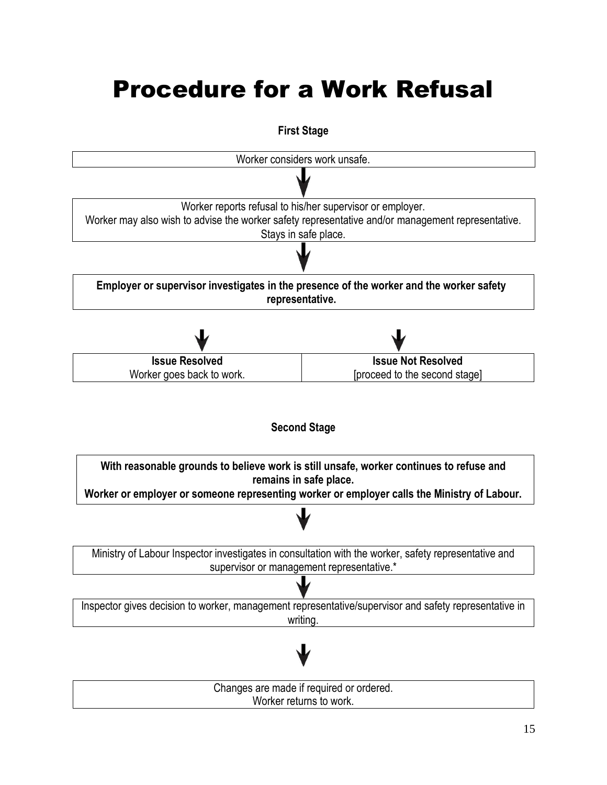# Procedure for a Work Refusal